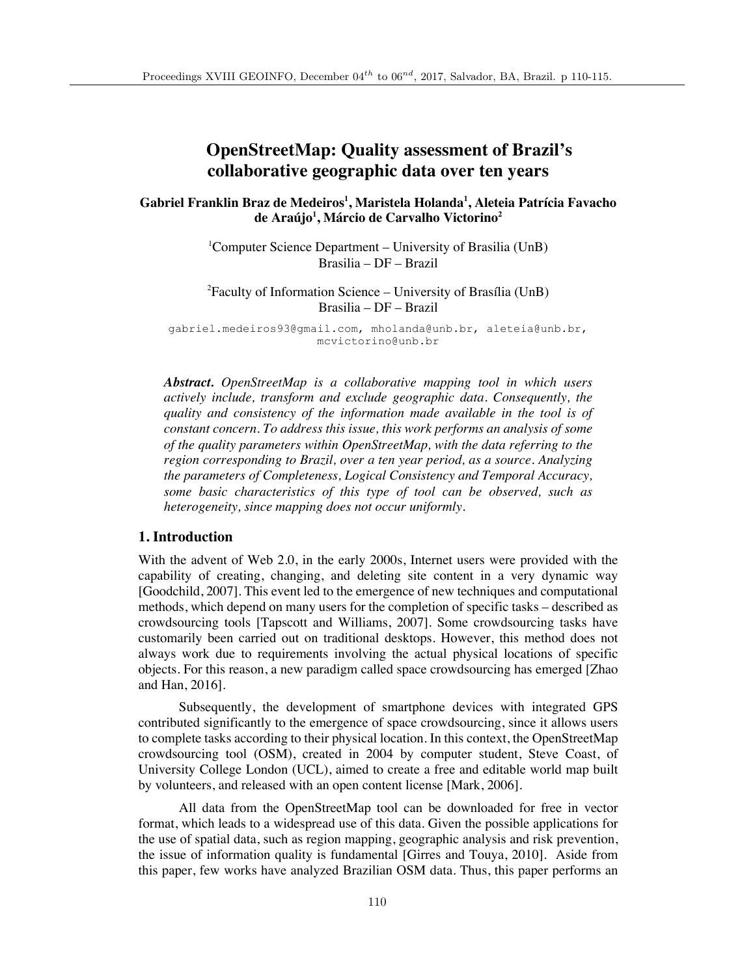# **OpenStreetMap: Quality assessment of Brazil's collaborative geographic data over ten years**

**Gabriel Franklin Braz de Medeiros<sup>1</sup> , Maristela Holanda1 , Aleteia Patrícia Favacho de Araújo1 , Márcio de Carvalho Victorino<sup>2</sup>**

> <sup>1</sup>Computer Science Department - University of Brasilia (UnB) Brasilia – DF – Brazil

> 2 Faculty of Information Science – University of Brasília (UnB) Brasilia – DF – Brazil

gabriel.medeiros93@gmail.com, mholanda@unb.br, aleteia@unb.br, mcvictorino@unb.br

*Abstract. OpenStreetMap is a collaborative mapping tool in which users actively include, transform and exclude geographic data. Consequently, the quality and consistency of the information made available in the tool is of constant concern. To address this issue, this work performs an analysis of some of the quality parameters within OpenStreetMap, with the data referring to the region corresponding to Brazil, over a ten year period, as a source. Analyzing the parameters of Completeness, Logical Consistency and Temporal Accuracy, some basic characteristics of this type of tool can be observed, such as heterogeneity, since mapping does not occur uniformly.*

### **1. Introduction**

With the advent of Web 2.0, in the early 2000s, Internet users were provided with the capability of creating, changing, and deleting site content in a very dynamic way [Goodchild, 2007]. This event led to the emergence of new techniques and computational methods, which depend on many users for the completion of specific tasks – described as crowdsourcing tools [Tapscott and Williams, 2007]. Some crowdsourcing tasks have customarily been carried out on traditional desktops. However, this method does not always work due to requirements involving the actual physical locations of specific objects. For this reason, a new paradigm called space crowdsourcing has emerged [Zhao and Han, 2016].

Subsequently, the development of smartphone devices with integrated GPS contributed significantly to the emergence of space crowdsourcing, since it allows users to complete tasks according to their physical location. In this context, the OpenStreetMap crowdsourcing tool (OSM), created in 2004 by computer student, Steve Coast, of University College London (UCL), aimed to create a free and editable world map built by volunteers, and released with an open content license [Mark, 2006].

All data from the OpenStreetMap tool can be downloaded for free in vector format, which leads to a widespread use of this data. Given the possible applications for the use of spatial data, such as region mapping, geographic analysis and risk prevention, the issue of information quality is fundamental [Girres and Touya, 2010]. Aside from this paper, few works have analyzed Brazilian OSM data. Thus, this paper performs an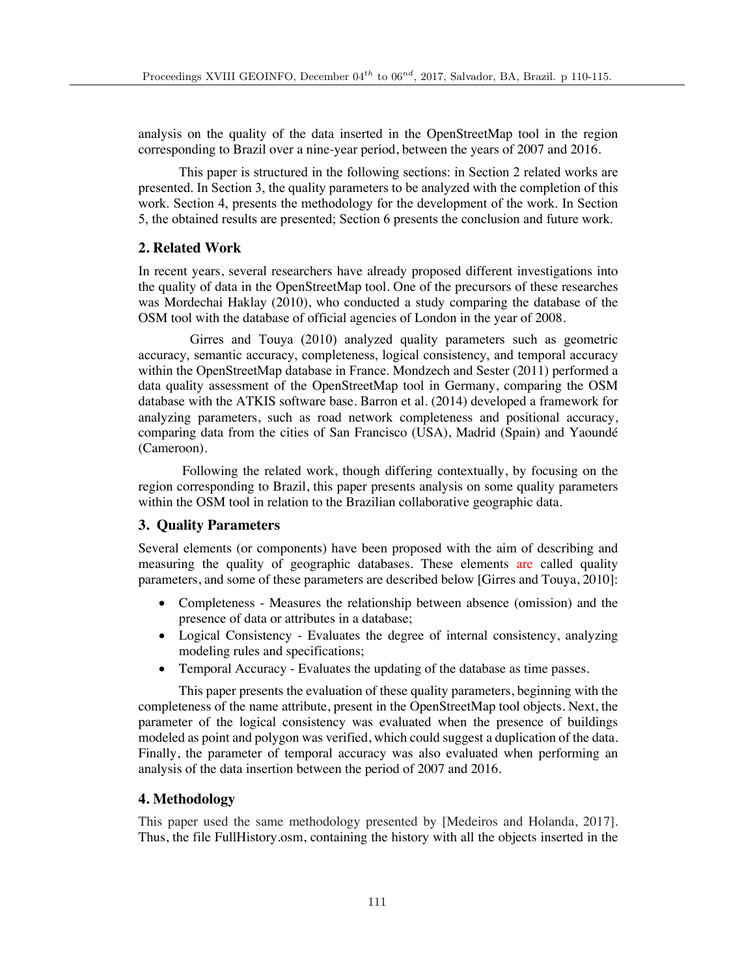analysis on the quality of the data inserted in the OpenStreetMap tool in the region corresponding to Brazil over a nine-year period, between the years of 2007 and 2016.

This paper is structured in the following sections: in Section 2 related works are presented. In Section 3, the quality parameters to be analyzed with the completion of this work. Section 4, presents the methodology for the development of the work. In Section 5, the obtained results are presented; Section 6 presents the conclusion and future work.

### **2. Related Work**

In recent years, several researchers have already proposed different investigations into the quality of data in the OpenStreetMap tool. One of the precursors of these researches was Mordechai Haklay (2010), who conducted a study comparing the database of the OSM tool with the database of official agencies of London in the year of 2008.

Girres and Touya (2010) analyzed quality parameters such as geometric accuracy, semantic accuracy, completeness, logical consistency, and temporal accuracy within the OpenStreetMap database in France. Mondzech and Sester (2011) performed a data quality assessment of the OpenStreetMap tool in Germany, comparing the OSM database with the ATKIS software base. Barron et al. (2014) developed a framework for analyzing parameters, such as road network completeness and positional accuracy, comparing data from the cities of San Francisco (USA), Madrid (Spain) and Yaoundé (Cameroon).

Following the related work, though differing contextually, by focusing on the region corresponding to Brazil, this paper presents analysis on some quality parameters within the OSM tool in relation to the Brazilian collaborative geographic data.

## **3. Quality Parameters**

Several elements (or components) have been proposed with the aim of describing and measuring the quality of geographic databases. These elements are called quality parameters, and some of these parameters are described below [Girres and Touya, 2010]:

- Completeness Measures the relationship between absence (omission) and the presence of data or attributes in a database;
- Logical Consistency Evaluates the degree of internal consistency, analyzing modeling rules and specifications;
- Temporal Accuracy Evaluates the updating of the database as time passes.

This paper presents the evaluation of these quality parameters, beginning with the completeness of the name attribute, present in the OpenStreetMap tool objects. Next, the parameter of the logical consistency was evaluated when the presence of buildings modeled as point and polygon was verified, which could suggest a duplication of the data. Finally, the parameter of temporal accuracy was also evaluated when performing an analysis of the data insertion between the period of 2007 and 2016.

## **4. Methodology**

This paper used the same methodology presented by [Medeiros and Holanda, 2017]. Thus, the file FullHistory.osm, containing the history with all the objects inserted in the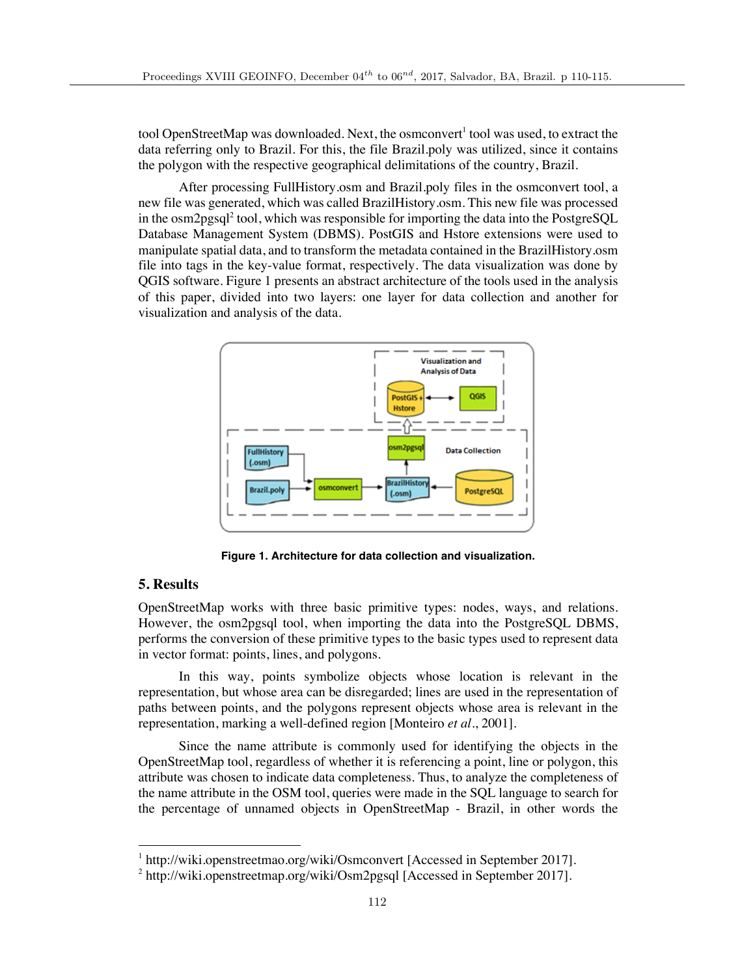tool OpenStreetMap was downloaded. Next, the osmconvert<sup>1</sup> tool was used, to extract the data referring only to Brazil. For this, the file Brazil.poly was utilized, since it contains the polygon with the respective geographical delimitations of the country, Brazil.

After processing FullHistory.osm and Brazil.poly files in the osmconvert tool, a new file was generated, which was called BrazilHistory.osm. This new file was processed in the  $\rm{osm2pgsql}^2$  tool, which was responsible for importing the data into the PostgreSOL Database Management System (DBMS). PostGIS and Hstore extensions were used to manipulate spatial data, and to transform the metadata contained in the BrazilHistory.osm file into tags in the key-value format, respectively. The data visualization was done by QGIS software. Figure 1 presents an abstract architecture of the tools used in the analysis of this paper, divided into two layers: one layer for data collection and another for visualization and analysis of the data.



**Figure 1. Architecture for data collection and visualization.**

## **5. Results**

OpenStreetMap works with three basic primitive types: nodes, ways, and relations. However, the osm2pgsql tool, when importing the data into the PostgreSQL DBMS, performs the conversion of these primitive types to the basic types used to represent data in vector format: points, lines, and polygons.

In this way, points symbolize objects whose location is relevant in the representation, but whose area can be disregarded; lines are used in the representation of paths between points, and the polygons represent objects whose area is relevant in the representation, marking a well-defined region [Monteiro *et al*., 2001].

Since the name attribute is commonly used for identifying the objects in the OpenStreetMap tool, regardless of whether it is referencing a point, line or polygon, this attribute was chosen to indicate data completeness. Thus, to analyze the completeness of the name attribute in the OSM tool, queries were made in the SQL language to search for the percentage of unnamed objects in OpenStreetMap - Brazil, in other words the

<sup>&</sup>lt;sup>1</sup> http://wiki.openstreetmao.org/wiki/Osmconvert [Accessed in September 2017].

<sup>&</sup>lt;sup>2</sup> http://wiki.openstreetmap.org/wiki/Osm2pgsql [Accessed in September 2017].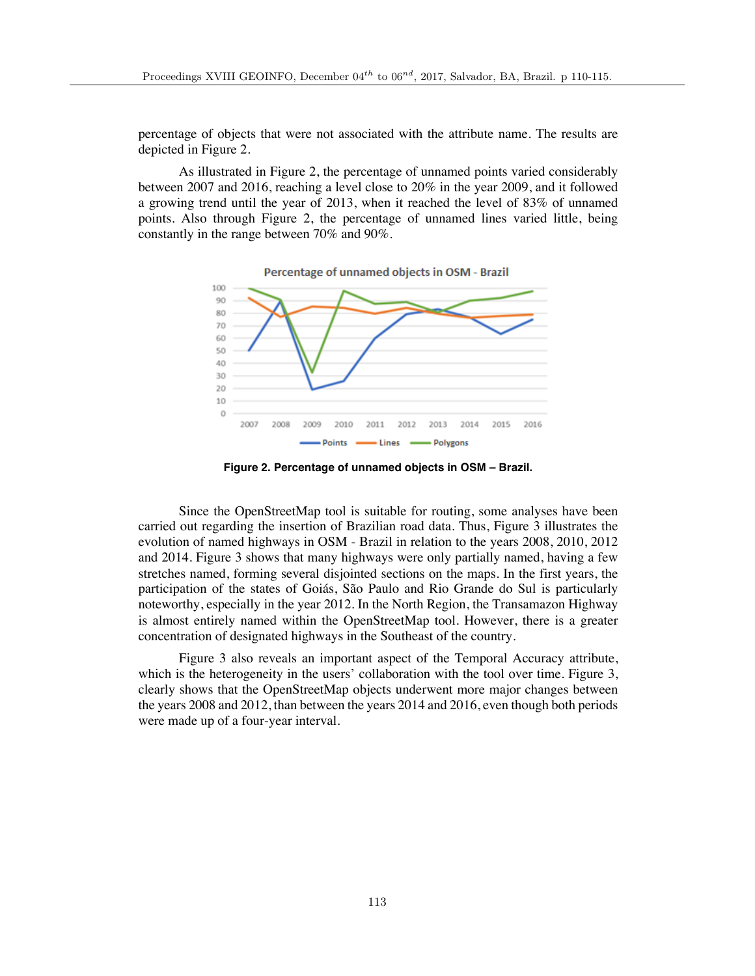percentage of objects that were not associated with the attribute name. The results are depicted in Figure 2.

As illustrated in Figure 2, the percentage of unnamed points varied considerably between 2007 and 2016, reaching a level close to 20% in the year 2009, and it followed a growing trend until the year of 2013, when it reached the level of 83% of unnamed points. Also through Figure 2, the percentage of unnamed lines varied little, being constantly in the range between 70% and 90%.



**Figure 2. Percentage of unnamed objects in OSM – Brazil.**

Since the OpenStreetMap tool is suitable for routing, some analyses have been carried out regarding the insertion of Brazilian road data. Thus, Figure 3 illustrates the evolution of named highways in OSM - Brazil in relation to the years 2008, 2010, 2012 and 2014. Figure 3 shows that many highways were only partially named, having a few stretches named, forming several disjointed sections on the maps. In the first years, the participation of the states of Goiás, São Paulo and Rio Grande do Sul is particularly noteworthy, especially in the year 2012. In the North Region, the Transamazon Highway is almost entirely named within the OpenStreetMap tool. However, there is a greater concentration of designated highways in the Southeast of the country.

Figure 3 also reveals an important aspect of the Temporal Accuracy attribute, which is the heterogeneity in the users' collaboration with the tool over time. Figure 3, clearly shows that the OpenStreetMap objects underwent more major changes between the years 2008 and 2012, than between the years 2014 and 2016, even though both periods were made up of a four-year interval.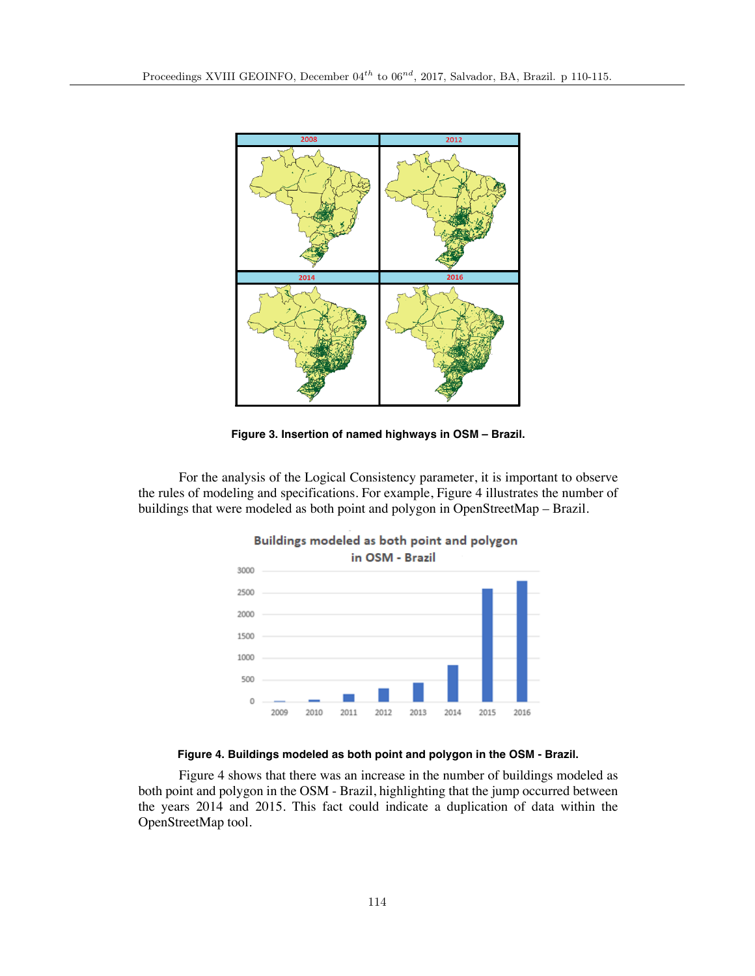

**Figure 3. Insertion of named highways in OSM – Brazil.**

For the analysis of the Logical Consistency parameter, it is important to observe the rules of modeling and specifications. For example, Figure 4 illustrates the number of buildings that were modeled as both point and polygon in OpenStreetMap – Brazil.





Figure 4 shows that there was an increase in the number of buildings modeled as both point and polygon in the OSM - Brazil, highlighting that the jump occurred between the years 2014 and 2015. This fact could indicate a duplication of data within the OpenStreetMap tool.